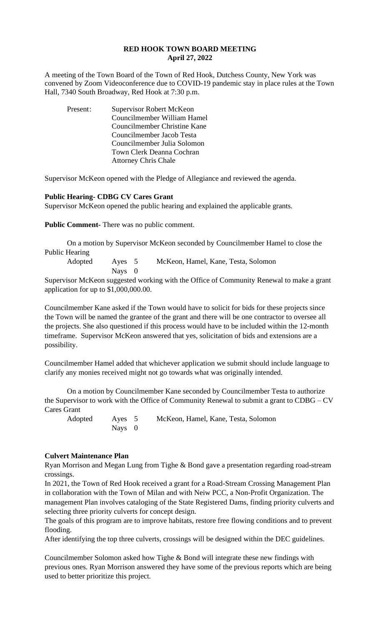# **RED HOOK TOWN BOARD MEETING April 27, 2022**

A meeting of the Town Board of the Town of Red Hook, Dutchess County, New York was convened by Zoom Videoconference due to COVID-19 pandemic stay in place rules at the Town Hall, 7340 South Broadway, Red Hook at 7:30 p.m.

| Present: | <b>Supervisor Robert McKeon</b> |
|----------|---------------------------------|
|          | Councilmember William Hamel     |
|          | Councilmember Christine Kane    |
|          | Councilmember Jacob Testa       |
|          | Councilmember Julia Solomon     |
|          | Town Clerk Deanna Cochran       |
|          | <b>Attorney Chris Chale</b>     |

Supervisor McKeon opened with the Pledge of Allegiance and reviewed the agenda.

## **Public Hearing- CDBG CV Cares Grant**

Supervisor McKeon opened the public hearing and explained the applicable grants.

**Public Comment-** There was no public comment.

On a motion by Supervisor McKeon seconded by Councilmember Hamel to close the Public Hearing

Adopted Ayes 5 McKeon, Hamel, Kane, Testa, Solomon Nays 0

Supervisor McKeon suggested working with the Office of Community Renewal to make a grant application for up to \$1,000,000.00.

Councilmember Kane asked if the Town would have to solicit for bids for these projects since the Town will be named the grantee of the grant and there will be one contractor to oversee all the projects. She also questioned if this process would have to be included within the 12-month timeframe. Supervisor McKeon answered that yes, solicitation of bids and extensions are a possibility.

Councilmember Hamel added that whichever application we submit should include language to clarify any monies received might not go towards what was originally intended.

On a motion by Councilmember Kane seconded by Councilmember Testa to authorize the Supervisor to work with the Office of Community Renewal to submit a grant to CDBG – CV Cares Grant

Adopted Ayes 5 McKeon, Hamel, Kane, Testa, Solomon Nays 0

#### **Culvert Maintenance Plan**

Ryan Morrison and Megan Lung from Tighe & Bond gave a presentation regarding road-stream crossings.

In 2021, the Town of Red Hook received a grant for a Road-Stream Crossing Management Plan in collaboration with the Town of Milan and with Neiw PCC, a Non-Profit Organization. The management Plan involves cataloging of the State Registered Dams, finding priority culverts and selecting three priority culverts for concept design.

The goals of this program are to improve habitats, restore free flowing conditions and to prevent flooding.

After identifying the top three culverts, crossings will be designed within the DEC guidelines.

Councilmember Solomon asked how Tighe & Bond will integrate these new findings with previous ones. Ryan Morrison answered they have some of the previous reports which are being used to better prioritize this project.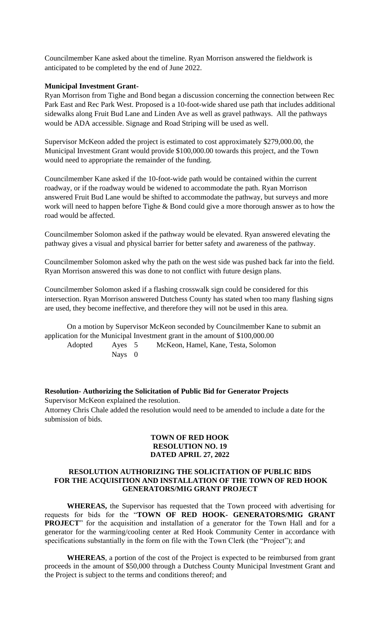Councilmember Kane asked about the timeline. Ryan Morrison answered the fieldwork is anticipated to be completed by the end of June 2022.

## **Municipal Investment Grant-**

Ryan Morrison from Tighe and Bond began a discussion concerning the connection between Rec Park East and Rec Park West. Proposed is a 10-foot-wide shared use path that includes additional sidewalks along Fruit Bud Lane and Linden Ave as well as gravel pathways. All the pathways would be ADA accessible. Signage and Road Striping will be used as well.

Supervisor McKeon added the project is estimated to cost approximately \$279,000.00, the Municipal Investment Grant would provide \$100,000.00 towards this project, and the Town would need to appropriate the remainder of the funding.

Councilmember Kane asked if the 10-foot-wide path would be contained within the current roadway, or if the roadway would be widened to accommodate the path. Ryan Morrison answered Fruit Bud Lane would be shifted to accommodate the pathway, but surveys and more work will need to happen before Tighe & Bond could give a more thorough answer as to how the road would be affected.

Councilmember Solomon asked if the pathway would be elevated. Ryan answered elevating the pathway gives a visual and physical barrier for better safety and awareness of the pathway.

Councilmember Solomon asked why the path on the west side was pushed back far into the field. Ryan Morrison answered this was done to not conflict with future design plans.

Councilmember Solomon asked if a flashing crosswalk sign could be considered for this intersection. Ryan Morrison answered Dutchess County has stated when too many flashing signs are used, they become ineffective, and therefore they will not be used in this area.

On a motion by Supervisor McKeon seconded by Councilmember Kane to submit an application for the Municipal Investment grant in the amount of \$100,000.00

Adopted Ayes 5 McKeon, Hamel, Kane, Testa, Solomon Nays 0

**Resolution- Authorizing the Solicitation of Public Bid for Generator Projects** Supervisor McKeon explained the resolution. Attorney Chris Chale added the resolution would need to be amended to include a date for the submission of bids.

## **TOWN OF RED HOOK RESOLUTION NO. 19 DATED APRIL 27, 2022**

## **RESOLUTION AUTHORIZING THE SOLICITATION OF PUBLIC BIDS FOR THE ACQUISITION AND INSTALLATION OF THE TOWN OF RED HOOK GENERATORS/MIG GRANT PROJECT**

**WHEREAS,** the Supervisor has requested that the Town proceed with advertising for requests for bids for the "**TOWN OF RED HOOK- GENERATORS/MIG GRANT PROJECT**" for the acquisition and installation of a generator for the Town Hall and for a generator for the warming/cooling center at Red Hook Community Center in accordance with specifications substantially in the form on file with the Town Clerk (the "Project"); and

**WHEREAS**, a portion of the cost of the Project is expected to be reimbursed from grant proceeds in the amount of \$50,000 through a Dutchess County Municipal Investment Grant and the Project is subject to the terms and conditions thereof; and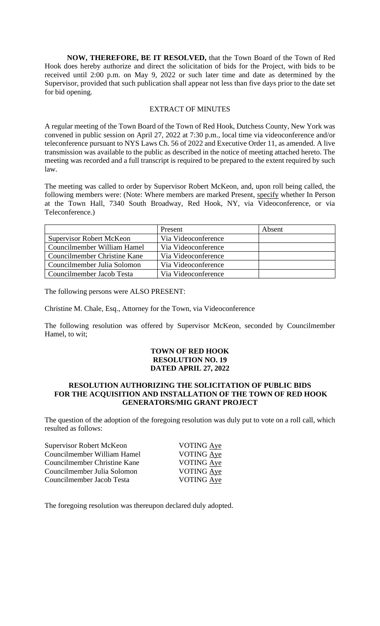**NOW, THEREFORE, BE IT RESOLVED,** that the Town Board of the Town of Red Hook does hereby authorize and direct the solicitation of bids for the Project, with bids to be received until 2:00 p.m. on May 9, 2022 or such later time and date as determined by the Supervisor, provided that such publication shall appear not less than five days prior to the date set for bid opening.

#### EXTRACT OF MINUTES

A regular meeting of the Town Board of the Town of Red Hook, Dutchess County, New York was convened in public session on April 27, 2022 at 7:30 p.m., local time via videoconference and/or teleconference pursuant to NYS Laws Ch. 56 of 2022 and Executive Order 11, as amended. A live transmission was available to the public as described in the notice of meeting attached hereto. The meeting was recorded and a full transcript is required to be prepared to the extent required by such law.

The meeting was called to order by Supervisor Robert McKeon, and, upon roll being called, the following members were: (Note: Where members are marked Present, specify whether In Person at the Town Hall, 7340 South Broadway, Red Hook, NY, via Videoconference, or via Teleconference.)

|                                 | Present             | Absent |
|---------------------------------|---------------------|--------|
| <b>Supervisor Robert McKeon</b> | Via Videoconference |        |
| Councilmember William Hamel     | Via Videoconference |        |
| Councilmember Christine Kane    | Via Videoconference |        |
| Councilmember Julia Solomon     | Via Videoconference |        |
| Councilmember Jacob Testa       | Via Videoconference |        |

The following persons were ALSO PRESENT:

Christine M. Chale, Esq., Attorney for the Town, via Videoconference

The following resolution was offered by Supervisor McKeon, seconded by Councilmember Hamel, to wit;

## **TOWN OF RED HOOK RESOLUTION NO. 19 DATED APRIL 27, 2022**

## **RESOLUTION AUTHORIZING THE SOLICITATION OF PUBLIC BIDS FOR THE ACQUISITION AND INSTALLATION OF THE TOWN OF RED HOOK GENERATORS/MIG GRANT PROJECT**

The question of the adoption of the foregoing resolution was duly put to vote on a roll call, which resulted as follows:

| Supervisor Robert McKeon     | <b>VOTING Aye</b> |
|------------------------------|-------------------|
| Councilmember William Hamel  | VOTING Aye        |
| Councilmember Christine Kane | VOTING Aye        |
| Councilmember Julia Solomon  | VOTING Aye        |
| Councilmember Jacob Testa    | <b>VOTING Aye</b> |
|                              |                   |

The foregoing resolution was thereupon declared duly adopted.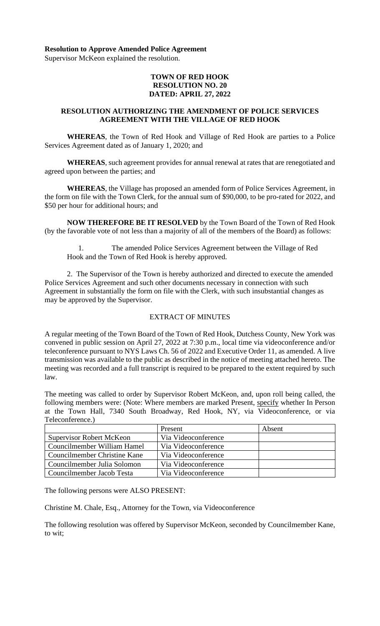## **Resolution to Approve Amended Police Agreement**

Supervisor McKeon explained the resolution.

## **TOWN OF RED HOOK RESOLUTION NO. 20 DATED: APRIL 27, 2022**

## **RESOLUTION AUTHORIZING THE AMENDMENT OF POLICE SERVICES AGREEMENT WITH THE VILLAGE OF RED HOOK**

**WHEREAS**, the Town of Red Hook and Village of Red Hook are parties to a Police Services Agreement dated as of January 1, 2020; and

**WHEREAS**, such agreement provides for annual renewal at rates that are renegotiated and agreed upon between the parties; and

**WHEREAS**, the Village has proposed an amended form of Police Services Agreement, in the form on file with the Town Clerk, for the annual sum of \$90,000, to be pro-rated for 2022, and \$50 per hour for additional hours; and

**NOW THEREFORE BE IT RESOLVED** by the Town Board of the Town of Red Hook (by the favorable vote of not less than a majority of all of the members of the Board) as follows:

The amended Police Services Agreement between the Village of Red Hook and the Town of Red Hook is hereby approved.

2. The Supervisor of the Town is hereby authorized and directed to execute the amended Police Services Agreement and such other documents necessary in connection with such Agreement in substantially the form on file with the Clerk, with such insubstantial changes as may be approved by the Supervisor.

#### EXTRACT OF MINUTES

A regular meeting of the Town Board of the Town of Red Hook, Dutchess County, New York was convened in public session on April 27, 2022 at 7:30 p.m., local time via videoconference and/or teleconference pursuant to NYS Laws Ch. 56 of 2022 and Executive Order 11, as amended. A live transmission was available to the public as described in the notice of meeting attached hereto. The meeting was recorded and a full transcript is required to be prepared to the extent required by such law.

The meeting was called to order by Supervisor Robert McKeon, and, upon roll being called, the following members were: (Note: Where members are marked Present, specify whether In Person at the Town Hall, 7340 South Broadway, Red Hook, NY, via Videoconference, or via Teleconference.)

|                                 | Present             | Absent |
|---------------------------------|---------------------|--------|
| <b>Supervisor Robert McKeon</b> | Via Videoconference |        |
| Councilmember William Hamel     | Via Videoconference |        |
| Councilmember Christine Kane    | Via Videoconference |        |
| Councilmember Julia Solomon     | Via Videoconference |        |
| Councilmember Jacob Testa       | Via Videoconference |        |

The following persons were ALSO PRESENT:

Christine M. Chale, Esq., Attorney for the Town, via Videoconference

The following resolution was offered by Supervisor McKeon, seconded by Councilmember Kane, to wit;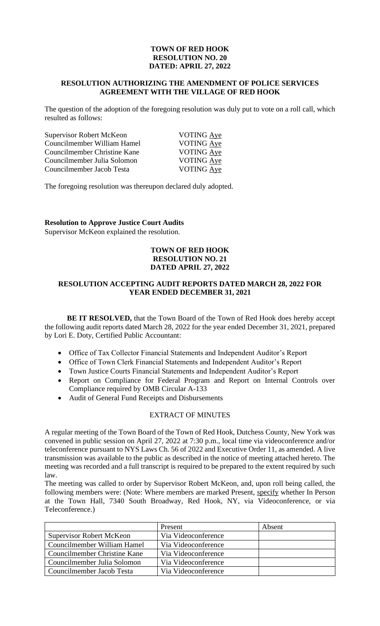# **TOWN OF RED HOOK RESOLUTION NO. 20 DATED: APRIL 27, 2022**

## **RESOLUTION AUTHORIZING THE AMENDMENT OF POLICE SERVICES AGREEMENT WITH THE VILLAGE OF RED HOOK**

The question of the adoption of the foregoing resolution was duly put to vote on a roll call, which resulted as follows:

| Supervisor Robert McKeon     | VOTING Aye        |
|------------------------------|-------------------|
| Councilmember William Hamel  | VOTING Aye        |
| Councilmember Christine Kane | <b>VOTING Aye</b> |
| Councilmember Julia Solomon  | <b>VOTING Aye</b> |
| Councilmember Jacob Testa    | VOTING Aye        |

The foregoing resolution was thereupon declared duly adopted.

#### **Resolution to Approve Justice Court Audits**

Supervisor McKeon explained the resolution.

## **TOWN OF RED HOOK RESOLUTION NO. 21 DATED APRIL 27, 2022**

## **RESOLUTION ACCEPTING AUDIT REPORTS DATED MARCH 28, 2022 FOR YEAR ENDED DECEMBER 31, 2021**

**BE IT RESOLVED,** that the Town Board of the Town of Red Hook does hereby accept the following audit reports dated March 28, 2022 for the year ended December 31, 2021, prepared by Lori E. Doty, Certified Public Accountant:

- Office of Tax Collector Financial Statements and Independent Auditor's Report
- Office of Town Clerk Financial Statements and Independent Auditor's Report
- Town Justice Courts Financial Statements and Independent Auditor's Report
- Report on Compliance for Federal Program and Report on Internal Controls over Compliance required by OMB Circular A-133
- Audit of General Fund Receipts and Disbursements

#### EXTRACT OF MINUTES

A regular meeting of the Town Board of the Town of Red Hook, Dutchess County, New York was convened in public session on April 27, 2022 at 7:30 p.m., local time via videoconference and/or teleconference pursuant to NYS Laws Ch. 56 of 2022 and Executive Order 11, as amended. A live transmission was available to the public as described in the notice of meeting attached hereto. The meeting was recorded and a full transcript is required to be prepared to the extent required by such law.

The meeting was called to order by Supervisor Robert McKeon, and, upon roll being called, the following members were: (Note: Where members are marked Present, specify whether In Person at the Town Hall, 7340 South Broadway, Red Hook, NY, via Videoconference, or via Teleconference.)

|                                 | Present             | Absent |
|---------------------------------|---------------------|--------|
| <b>Supervisor Robert McKeon</b> | Via Videoconference |        |
| Councilmember William Hamel     | Via Videoconference |        |
| Councilmember Christine Kane    | Via Videoconference |        |
| Councilmember Julia Solomon     | Via Videoconference |        |
| Councilmember Jacob Testa       | Via Videoconference |        |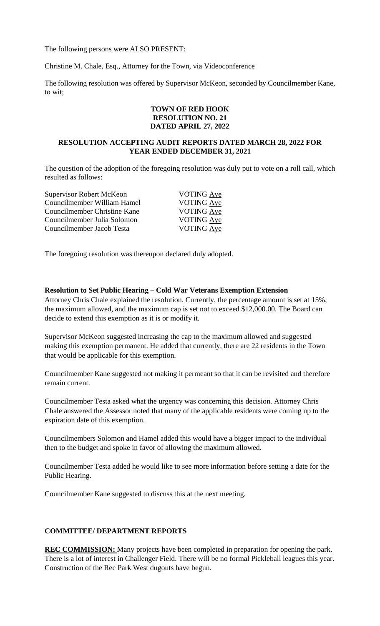The following persons were ALSO PRESENT:

Christine M. Chale, Esq., Attorney for the Town, via Videoconference

The following resolution was offered by Supervisor McKeon, seconded by Councilmember Kane, to wit;

# **TOWN OF RED HOOK RESOLUTION NO. 21 DATED APRIL 27, 2022**

# **RESOLUTION ACCEPTING AUDIT REPORTS DATED MARCH 28, 2022 FOR YEAR ENDED DECEMBER 31, 2021**

The question of the adoption of the foregoing resolution was duly put to vote on a roll call, which resulted as follows:

| <b>Supervisor Robert McKeon</b> | <b>VOTING</b> Aye |
|---------------------------------|-------------------|
| Councilmember William Hamel     | VOTING Aye        |
| Councilmember Christine Kane    | VOTING Aye        |
| Councilmember Julia Solomon     | VOTING Aye        |
| Councilmember Jacob Testa       | <b>VOTING Aye</b> |
|                                 |                   |

The foregoing resolution was thereupon declared duly adopted.

#### **Resolution to Set Public Hearing – Cold War Veterans Exemption Extension**

Attorney Chris Chale explained the resolution. Currently, the percentage amount is set at 15%, the maximum allowed, and the maximum cap is set not to exceed \$12,000.00. The Board can decide to extend this exemption as it is or modify it.

Supervisor McKeon suggested increasing the cap to the maximum allowed and suggested making this exemption permanent. He added that currently, there are 22 residents in the Town that would be applicable for this exemption.

Councilmember Kane suggested not making it permeant so that it can be revisited and therefore remain current.

Councilmember Testa asked what the urgency was concerning this decision. Attorney Chris Chale answered the Assessor noted that many of the applicable residents were coming up to the expiration date of this exemption.

Councilmembers Solomon and Hamel added this would have a bigger impact to the individual then to the budget and spoke in favor of allowing the maximum allowed.

Councilmember Testa added he would like to see more information before setting a date for the Public Hearing.

Councilmember Kane suggested to discuss this at the next meeting.

## **COMMITTEE/ DEPARTMENT REPORTS**

**REC COMMISSION:** Many projects have been completed in preparation for opening the park. There is a lot of interest in Challenger Field. There will be no formal Pickleball leagues this year. Construction of the Rec Park West dugouts have begun.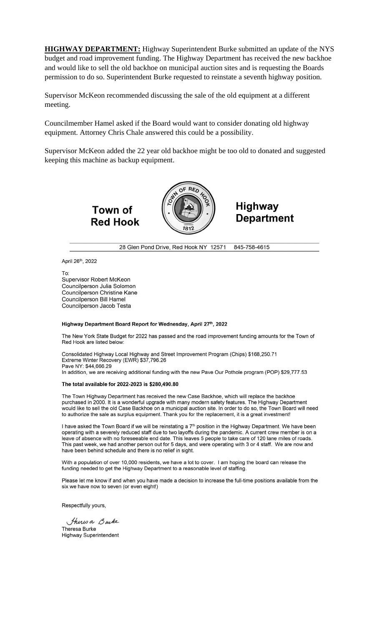**HIGHWAY DEPARTMENT:** Highway Superintendent Burke submitted an update of the NYS budget and road improvement funding. The Highway Department has received the new backhoe and would like to sell the old backhoe on municipal auction sites and is requesting the Boards permission to do so. Superintendent Burke requested to reinstate a seventh highway position.

Supervisor McKeon recommended discussing the sale of the old equipment at a different meeting.

Councilmember Hamel asked if the Board would want to consider donating old highway equipment. Attorney Chris Chale answered this could be a possibility.

Supervisor McKeon added the 22 year old backhoe might be too old to donated and suggested keeping this machine as backup equipment.





**Highway Department** 

28 Glen Pond Drive, Red Hook NY 12571 845-758-4615

April 26<sup>th</sup>, 2022

To: Supervisor Robert McKeon Councilperson Julia Solomon Councilperson Christine Kane **Councilperson Bill Hamel** Councilperson Jacob Testa

#### Highway Department Board Report for Wednesday, April 27th, 2022

The New York State Budget for 2022 has passed and the road improvement funding amounts for the Town of Red Hook are listed below:

Consolidated Highway Local Highway and Street Improvement Program (Chips) \$168,250.71 Extreme Winter Recovery (EWR) \$37,796.26 Pave NY: \$44,666.29 In addition, we are receiving additional funding with the new Pave Our Pothole program (POP) \$29,777.53

#### The total available for 2022-2023 is \$280,490.80

The Town Highway Department has received the new Case Backhoe, which will replace the backhoe purchased in 2000. It is a wonderful upgrade with many modern safety features. The Highway Department would like to sell the old Case Backhoe on a municipal auction site. In order to do so, the Town Board will need to authorize the sale as surplus equipment. Thank you for the replacement, it is a great investment!

I have asked the Town Board if we will be reinstating a 7<sup>th</sup> position in the Highway Department. We have been operating with a severely reduced staff due to two layoffs during the pandemic. A current crew member is on a leave of absence with no foreseeable end date. This leaves 5 people to take care of 120 lane miles of roads. This past week, we had another person out for 5 days, and were operating with 3 or 4 staff. We are now and have been behind schedule and there is no relief in sight.

With a population of over 10,000 residents, we have a lot to cover. I am hoping the board can release the funding needed to get the Highway Department to a reasonable level of staffing.

Please let me know if and when you have made a decision to increase the full-time positions available from the six we have now to seven (or even eight!)

Respectfully yours,

Thirs a Bucke Theresa Burke **Highway Superintendent**